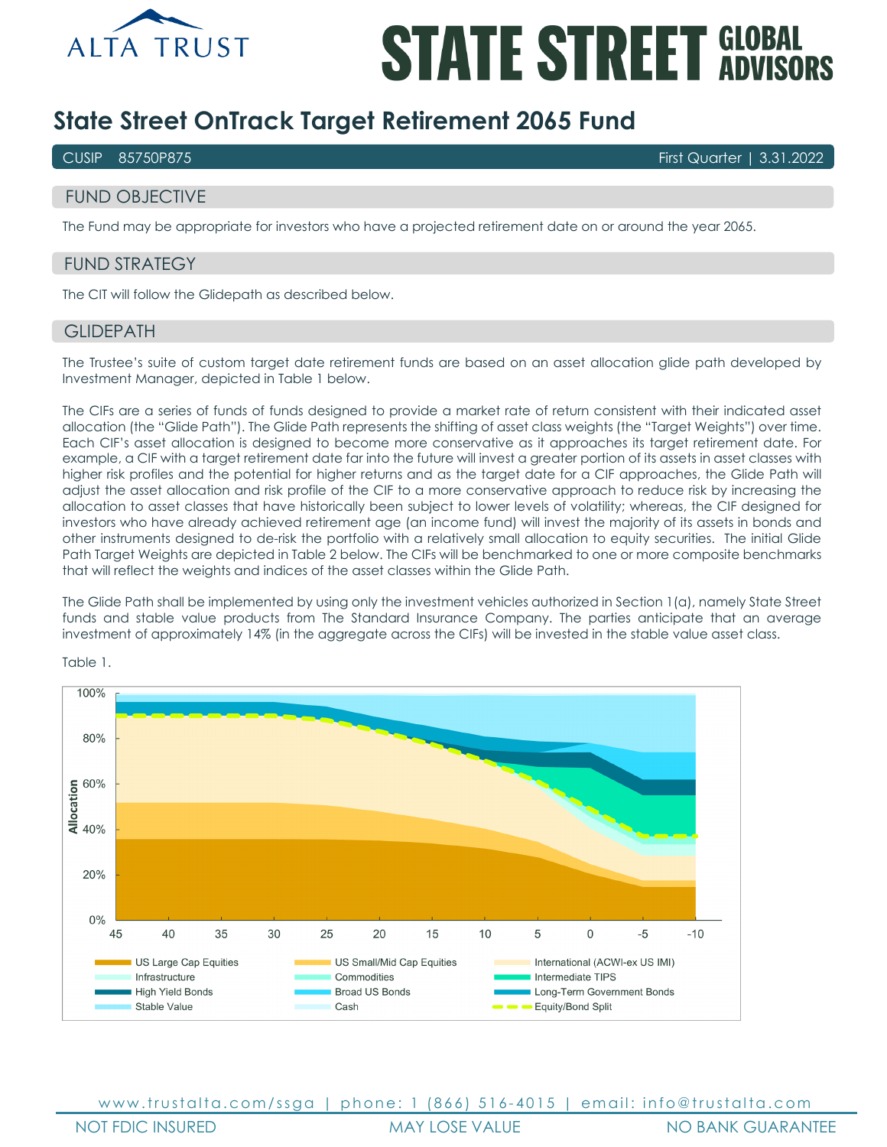

# **STATE STREET GLOBAL**

# **State Street OnTrack Target Retirement 2065 Fund**

CUSIP 85750P875 First Quarter | 3.31.2022

# FUND OBJECTIVE

The Fund may be appropriate for investors who have a projected retirement date on or around the year 2065.

# FUND STRATEGY

The CIT will follow the Glidepath as described below.

## **GLIDEPATH**

The Trustee's suite of custom target date retirement funds are based on an asset allocation glide path developed by Investment Manager, depicted in Table 1 below.

The CIFs are a series of funds of funds designed to provide a market rate of return consistent with their indicated asset allocation (the "Glide Path"). The Glide Path represents the shifting of asset class weights (the "Target Weights") over time. Each CIF's asset allocation is designed to become more conservative as it approaches its target retirement date. For example, a CIF with a target retirement date far into the future will invest a greater portion of its assets in asset classes with higher risk profiles and the potential for higher returns and as the target date for a CIF approaches, the Glide Path will adjust the asset allocation and risk profile of the CIF to a more conservative approach to reduce risk by increasing the allocation to asset classes that have historically been subject to lower levels of volatility; whereas, the CIF designed for investors who have already achieved retirement age (an income fund) will invest the majority of its assets in bonds and other instruments designed to de-risk the portfolio with a relatively small allocation to equity securities. The initial Glide Path Target Weights are depicted in Table 2 below. The CIFs will be benchmarked to one or more composite benchmarks that will reflect the weights and indices of the asset classes within the Glide Path.

The Glide Path shall be implemented by using only the investment vehicles authorized in Section 1(a), namely State Street funds and stable value products from The Standard Insurance Company. The parties anticipate that an average investment of approximately 14% (in the aggregate across the CIFs) will be invested in the stable value asset class.



Table 1.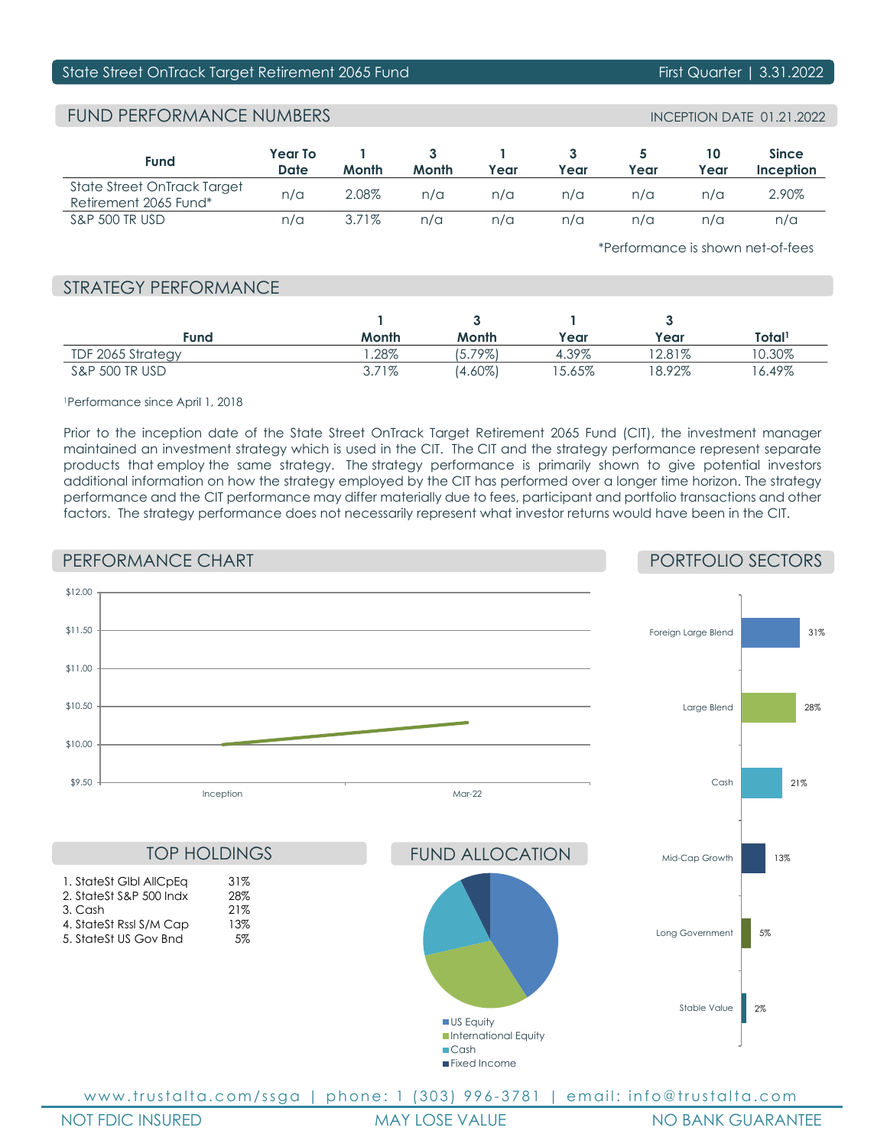# State Street OnTrack Target Retirement 2065 Fund First Quarter | 3.31.2022

# FUND PERFORMANCE NUMBERS INCEPTION DATE 01.21.2022

| Fund                                                 | <b>Year To</b><br>Date | Month    | Month | Year | Year | Year | Year | <b>Since</b><br>Inception |
|------------------------------------------------------|------------------------|----------|-------|------|------|------|------|---------------------------|
| State Street OnTrack Target<br>Retirement 2065 Fund* | n/a                    | 2.08%    | n/a   | n/a  | n/a  | n/a  | n/a  | 2.90%                     |
| <b>S&amp;P 500 TR USD</b>                            | n/a                    | $3.71\%$ | n/a   | n/a  | n/a  | n/a  | n/a  | n/a                       |

\*Performance is shown net-of-fees

# STRATEGY PERFORMANCE

| Fund                      | Month    | Month       | Year  | Year      | Total <sup>1</sup> |
|---------------------------|----------|-------------|-------|-----------|--------------------|
| TDF 2065 Strategy         | .28%     | 79%)<br>5., | 4.39% | $'2.81\%$ | $10.30\%$          |
| <b>S&amp;P 500 TR USD</b> | $3.71\%$ | (4.60%)     | 5.65% | 8.92%     | $16.49\%$          |

### 1Performance since April 1, 2018

Prior to the inception date of the State Street OnTrack Target Retirement 2065 Fund (CIT), the investment manager maintained an investment strategy which is used in the CIT. The CIT and the strategy performance represent separate products that employ the same strategy. The strategy performance is primarily shown to give potential investors additional information on how the strategy employed by the CIT has performed over a longer time horizon. The strategy performance and the CIT performance may differ materially due to fees, participant and portfolio transactions and other factors. The strategy performance does not necessarily represent what investor returns would have been in the CIT.

# PERFORMANCE CHART

# PORTFOLIO SECTORS



NOT FDIC INSURED MAY LOSE VALUE NO BANK GUARANTEE